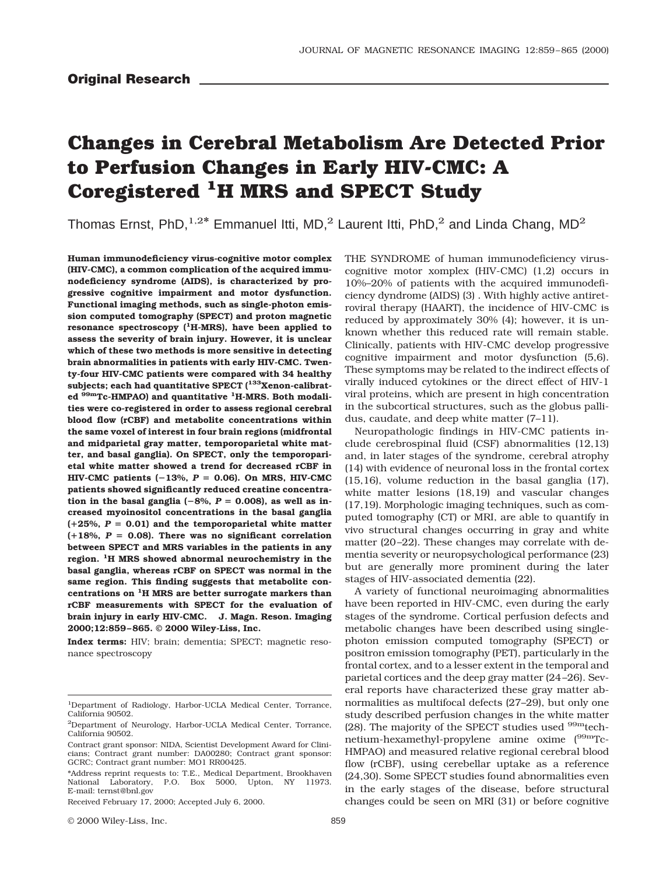# **Changes in Cerebral Metabolism Are Detected Prior to Perfusion Changes in Early HIV-CMC: A Coregistered 1H MRS and SPECT Study**

Thomas Ernst, PhD,<sup>1,2\*</sup> Emmanuel Itti, MD,<sup>2</sup> Laurent Itti, PhD,<sup>2</sup> and Linda Chang, MD<sup>2</sup>

**Human immunodeficiency virus-cognitive motor complex (HIV-CMC), a common complication of the acquired immunodeficiency syndrome (AIDS), is characterized by progressive cognitive impairment and motor dysfunction. Functional imaging methods, such as single-photon emission computed tomography (SPECT) and proton magnetic resonance spectroscopy (1H-MRS), have been applied to assess the severity of brain injury. However, it is unclear which of these two methods is more sensitive in detecting brain abnormalities in patients with early HIV-CMC. Twenty-four HIV-CMC patients were compared with 34 healthy** subjects; each had quantitative SPECT (<sup>133</sup>Xenon-calibrat**ed 99mTc-HMPAO) and quantitative 1H-MRS. Both modalities were co-registered in order to assess regional cerebral blood flow (rCBF) and metabolite concentrations within the same voxel of interest in four brain regions (midfrontal and midparietal gray matter, temporoparietal white matter, and basal ganglia). On SPECT, only the temporoparietal white matter showed a trend for decreased rCBF in** HIV-CMC patients  $(-13\%, P = 0.06)$ . On MRS, HIV-CMC **patients showed significantly reduced creatine concentra**tion in the basal ganglia  $(-8\%, P = 0.008)$ , as well as in**creased myoinositol concentrations in the basal ganglia**  $(+25\%, P = 0.01)$  and the temporoparietal white matter  $(+18\%, P = 0.08)$ . There was no significant correlation **between SPECT and MRS variables in the patients in any region. 1H MRS showed abnormal neurochemistry in the basal ganglia, whereas rCBF on SPECT was normal in the same region. This finding suggests that metabolite concentrations on 1H MRS are better surrogate markers than rCBF measurements with SPECT for the evaluation of brain injury in early HIV-CMC. J. Magn. Reson. Imaging 2000;12:859 –865. © 2000 Wiley-Liss, Inc.**

**Index terms:** HIV; brain; dementia; SPECT; magnetic resonance spectroscopy

© 2000 Wiley-Liss, Inc. 859

THE SYNDROME of human immunodeficiency viruscognitive motor xomplex (HIV-CMC) (1,2) occurs in 10%–20% of patients with the acquired immunodeficiency dyndrome (AIDS) (3) . With highly active antiretroviral therapy (HAART), the incidence of HIV-CMC is reduced by approximately 30% (4); however, it is unknown whether this reduced rate will remain stable. Clinically, patients with HIV-CMC develop progressive cognitive impairment and motor dysfunction (5,6). These symptoms may be related to the indirect effects of virally induced cytokines or the direct effect of HIV-1 viral proteins, which are present in high concentration in the subcortical structures, such as the globus pallidus, caudate, and deep white matter (7–11).

Neuropathologic findings in HIV-CMC patients include cerebrospinal fluid (CSF) abnormalities (12,13) and, in later stages of the syndrome, cerebral atrophy (14) with evidence of neuronal loss in the frontal cortex (15,16), volume reduction in the basal ganglia (17), white matter lesions (18,19) and vascular changes (17,19). Morphologic imaging techniques, such as computed tomography (CT) or MRI, are able to quantify in vivo structural changes occurring in gray and white matter (20–22). These changes may correlate with dementia severity or neuropsychological performance (23) but are generally more prominent during the later stages of HIV-associated dementia (22).

A variety of functional neuroimaging abnormalities have been reported in HIV-CMC, even during the early stages of the syndrome. Cortical perfusion defects and metabolic changes have been described using singlephoton emission computed tomography (SPECT) or positron emission tomography (PET), particularly in the frontal cortex, and to a lesser extent in the temporal and parietal cortices and the deep gray matter (24–26). Several reports have characterized these gray matter abnormalities as multifocal defects (27–29), but only one study described perfusion changes in the white matter (28). The majority of the SPECT studies used  $99m$  technetium-hexamethyl-propylene amine oxime (99mTc-HMPAO) and measured relative regional cerebral blood flow (rCBF), using cerebellar uptake as a reference (24,30). Some SPECT studies found abnormalities even in the early stages of the disease, before structural changes could be seen on MRI (31) or before cognitive

<sup>1</sup>Department of Radiology, Harbor-UCLA Medical Center, Torrance, California 90502.

<sup>2</sup>Department of Neurology, Harbor-UCLA Medical Center, Torrance, California 90502.

Contract grant sponsor: NIDA, Scientist Development Award for Clinicians; Contract grant number: DA00280; Contract grant sponsor: GCRC; Contract grant number: MO1 RR00425.

<sup>\*</sup>Address reprint requests to: T.E., Medical Department, Brookhaven National Laboratory, P.O. Box 5000, Upton, NY 11973. E-mail: ternst@bnl.gov

Received February 17, 2000; Accepted July 6, 2000.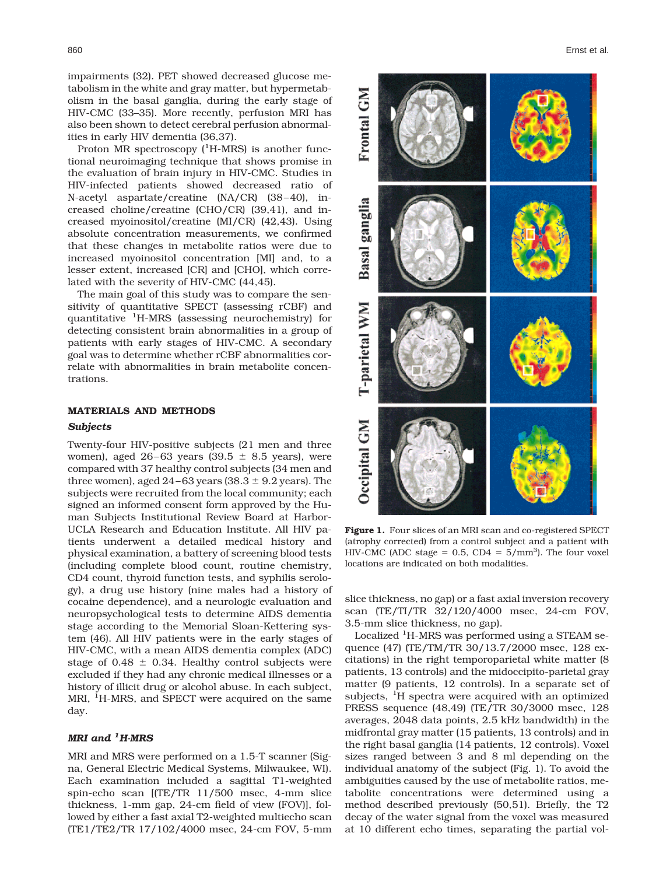impairments (32). PET showed decreased glucose metabolism in the white and gray matter, but hypermetabolism in the basal ganglia, during the early stage of HIV-CMC (33–35). More recently, perfusion MRI has also been shown to detect cerebral perfusion abnormalities in early HIV dementia (36,37).

Proton MR spectroscopy (<sup>1</sup>H-MRS) is another functional neuroimaging technique that shows promise in the evaluation of brain injury in HIV-CMC. Studies in HIV-infected patients showed decreased ratio of N-acetyl aspartate/creatine (NA/CR) (38–40), increased choline/creatine (CHO/CR) (39,41), and increased myoinositol/creatine (MI/CR) (42,43). Using absolute concentration measurements, we confirmed that these changes in metabolite ratios were due to increased myoinositol concentration [MI] and, to a lesser extent, increased [CR] and [CHO], which correlated with the severity of HIV-CMC (44,45).

The main goal of this study was to compare the sensitivity of quantitative SPECT (assessing rCBF) and quantitative <sup>1</sup> H-MRS (assessing neurochemistry) for detecting consistent brain abnormalities in a group of patients with early stages of HIV-CMC. A secondary goal was to determine whether rCBF abnormalities correlate with abnormalities in brain metabolite concentrations.

## **MATERIALS AND METHODS**

## *Subjects*

Twenty-four HIV-positive subjects (21 men and three women), aged  $26-63$  years  $(39.5 \pm 8.5$  years), were compared with 37 healthy control subjects (34 men and three women), aged  $24-63$  years ( $38.3 \pm 9.2$  years). The subjects were recruited from the local community; each signed an informed consent form approved by the Human Subjects Institutional Review Board at Harbor-UCLA Research and Education Institute. All HIV patients underwent a detailed medical history and physical examination, a battery of screening blood tests (including complete blood count, routine chemistry, CD4 count, thyroid function tests, and syphilis serology), a drug use history (nine males had a history of cocaine dependence), and a neurologic evaluation and neuropsychological tests to determine AIDS dementia stage according to the Memorial Sloan-Kettering system (46). All HIV patients were in the early stages of HIV-CMC, with a mean AIDS dementia complex (ADC) stage of 0.48  $\pm$  0.34. Healthy control subjects were excluded if they had any chronic medical illnesses or a history of illicit drug or alcohol abuse. In each subject, MRI, <sup>1</sup>H-MRS, and SPECT were acquired on the same day.

# *MRI and <sup>1</sup> H-MRS*

MRI and MRS were performed on a 1.5-T scanner (Signa, General Electric Medical Systems, Milwaukee, WI). Each examination included a sagittal T1-weighted spin-echo scan [(TE/TR 11/500 msec, 4-mm slice thickness, 1-mm gap, 24-cm field of view (FOV)], followed by either a fast axial T2-weighted multiecho scan (TE1/TE2/TR 17/102/4000 msec, 24-cm FOV, 5-mm



**Figure 1.** Four slices of an MRI scan and co-registered SPECT (atrophy corrected) from a control subject and a patient with HIV-CMC (ADC stage =  $0.5$ , CD4 =  $5/mm^3$ ). The four voxel locations are indicated on both modalities.

slice thickness, no gap) or a fast axial inversion recovery scan (TE/TI/TR 32/120/4000 msec, 24-cm FOV, 3.5-mm slice thickness, no gap).

Localized <sup>1</sup>H-MRS was performed using a STEAM sequence (47) (TE/TM/TR 30/13.7/2000 msec, 128 excitations) in the right temporoparietal white matter (8 patients, 13 controls) and the midoccipito-parietal gray matter (9 patients, 12 controls). In a separate set of subjects, <sup>1</sup>H spectra were acquired with an optimized PRESS sequence (48,49) (TE/TR 30/3000 msec, 128 averages, 2048 data points, 2.5 kHz bandwidth) in the midfrontal gray matter (15 patients, 13 controls) and in the right basal ganglia (14 patients, 12 controls). Voxel sizes ranged between 3 and 8 ml depending on the individual anatomy of the subject (Fig. 1). To avoid the ambiguities caused by the use of metabolite ratios, metabolite concentrations were determined using a method described previously (50,51). Briefly, the T2 decay of the water signal from the voxel was measured at 10 different echo times, separating the partial vol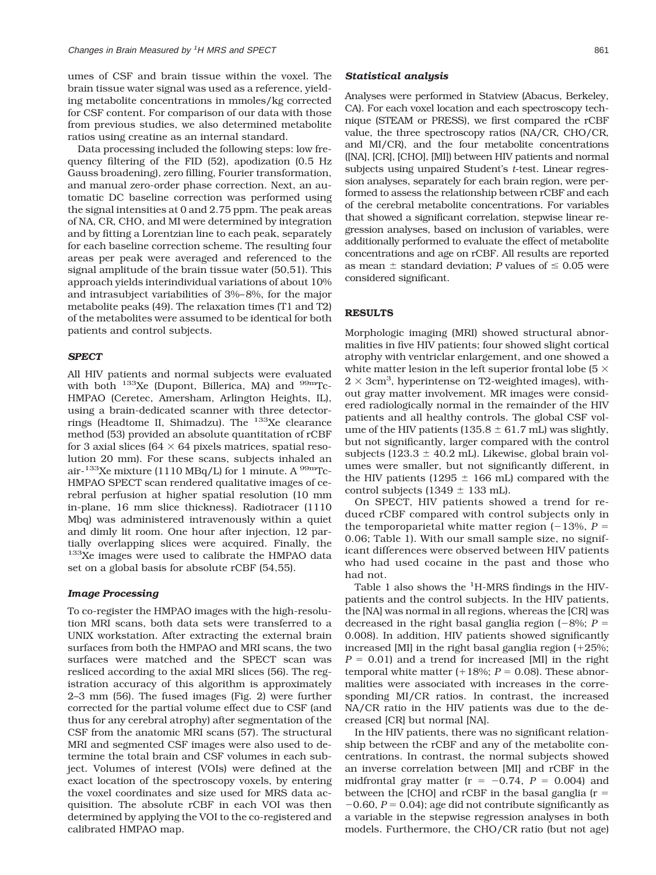umes of CSF and brain tissue within the voxel. The brain tissue water signal was used as a reference, yielding metabolite concentrations in mmoles/kg corrected for CSF content. For comparison of our data with those from previous studies, we also determined metabolite ratios using creatine as an internal standard.

Data processing included the following steps: low frequency filtering of the FID (52), apodization (0.5 Hz Gauss broadening), zero filling, Fourier transformation, and manual zero-order phase correction. Next, an automatic DC baseline correction was performed using the signal intensities at 0 and 2.75 ppm. The peak areas of NA, CR, CHO, and MI were determined by integration and by fitting a Lorentzian line to each peak, separately for each baseline correction scheme. The resulting four areas per peak were averaged and referenced to the signal amplitude of the brain tissue water (50,51). This approach yields interindividual variations of about 10% and intrasubject variabilities of 3%–8%, for the major metabolite peaks (49). The relaxation times (T1 and T2) of the metabolites were assumed to be identical for both patients and control subjects.

#### *SPECT*

All HIV patients and normal subjects were evaluated with both  $^{133}$ Xe (Dupont, Billerica, MA) and  $^{99m}$ Tc-HMPAO (Ceretec, Amersham, Arlington Heights, IL), using a brain-dedicated scanner with three detectorrings (Headtome II, Shimadzu). The 133Xe clearance method (53) provided an absolute quantitation of rCBF for 3 axial slices ( $64 \times 64$  pixels matrices, spatial resolution 20 mm). For these scans, subjects inhaled an air- $^{133}$ Xe mixture (1110 MBq/L) for 1 minute. A  $^{99m}$ Tc-HMPAO SPECT scan rendered qualitative images of cerebral perfusion at higher spatial resolution (10 mm in-plane, 16 mm slice thickness). Radiotracer (1110 Mbq) was administered intravenously within a quiet and dimly lit room. One hour after injection, 12 partially overlapping slices were acquired. Finally, the <sup>133</sup>Xe images were used to calibrate the HMPAO data set on a global basis for absolute rCBF (54,55).

### *Image Processing*

To co-register the HMPAO images with the high-resolution MRI scans, both data sets were transferred to a UNIX workstation. After extracting the external brain surfaces from both the HMPAO and MRI scans, the two surfaces were matched and the SPECT scan was resliced according to the axial MRI slices (56). The registration accuracy of this algorithm is approximately 2–3 mm (56). The fused images (Fig. 2) were further corrected for the partial volume effect due to CSF (and thus for any cerebral atrophy) after segmentation of the CSF from the anatomic MRI scans (57). The structural MRI and segmented CSF images were also used to determine the total brain and CSF volumes in each subject. Volumes of interest (VOIs) were defined at the exact location of the spectroscopy voxels, by entering the voxel coordinates and size used for MRS data acquisition. The absolute rCBF in each VOI was then determined by applying the VOI to the co-registered and calibrated HMPAO map.

#### *Statistical analysis*

Analyses were performed in Statview (Abacus, Berkeley, CA). For each voxel location and each spectroscopy technique (STEAM or PRESS), we first compared the rCBF value, the three spectroscopy ratios (NA/CR, CHO/CR, and MI/CR), and the four metabolite concentrations ([NA], [CR], [CHO], [MI]) between HIV patients and normal subjects using unpaired Student's *t*-test. Linear regression analyses, separately for each brain region, were performed to assess the relationship between rCBF and each of the cerebral metabolite concentrations. For variables that showed a significant correlation, stepwise linear regression analyses, based on inclusion of variables, were additionally performed to evaluate the effect of metabolite concentrations and age on rCBF. All results are reported as mean  $\pm$  standard deviation; *P* values of  $\leq 0.05$  were considered significant.

## **RESULTS**

Morphologic imaging (MRI) showed structural abnormalities in five HIV patients; four showed slight cortical atrophy with ventriclar enlargement, and one showed a white matter lesion in the left superior frontal lobe (5  $\times$  $2 \times 3$ cm<sup>3</sup>, hyperintense on T2-weighted images), without gray matter involvement. MR images were considered radiologically normal in the remainder of the HIV patients and all healthy controls. The global CSF volume of the HIV patients (135.8  $\pm$  61.7 mL) was slightly, but not significantly, larger compared with the control subjects (123.3  $\pm$  40.2 mL). Likewise, global brain volumes were smaller, but not significantly different, in the HIV patients (1295  $\pm$  166 mL) compared with the control subjects (1349  $\pm$  133 mL).

On SPECT, HIV patients showed a trend for reduced rCBF compared with control subjects only in the temporoparietal white matter region  $(-13\%, P =$ 0.06; Table 1). With our small sample size, no significant differences were observed between HIV patients who had used cocaine in the past and those who had not.

Table 1 also shows the <sup>1</sup>H-MRS findings in the HIVpatients and the control subjects. In the HIV patients, the [NA] was normal in all regions, whereas the [CR] was decreased in the right basal ganglia region  $(-8\%)$ ; *P* = 0.008). In addition, HIV patients showed significantly increased [MI] in the right basal ganglia region  $(+25\%;$  $P = 0.01$  and a trend for increased [MI] in the right temporal white matter  $(+18\%; P = 0.08)$ . These abnormalities were associated with increases in the corresponding MI/CR ratios. In contrast, the increased NA/CR ratio in the HIV patients was due to the decreased [CR] but normal [NA].

In the HIV patients, there was no significant relationship between the rCBF and any of the metabolite concentrations. In contrast, the normal subjects showed an inverse correlation between [MI] and rCBF in the midfrontal gray matter  $(r = -0.74, P = 0.004)$  and between the [CHO] and rCBF in the basal ganglia  $(r =$  $-0.60$ ,  $P = 0.04$ ; age did not contribute significantly as a variable in the stepwise regression analyses in both models. Furthermore, the CHO/CR ratio (but not age)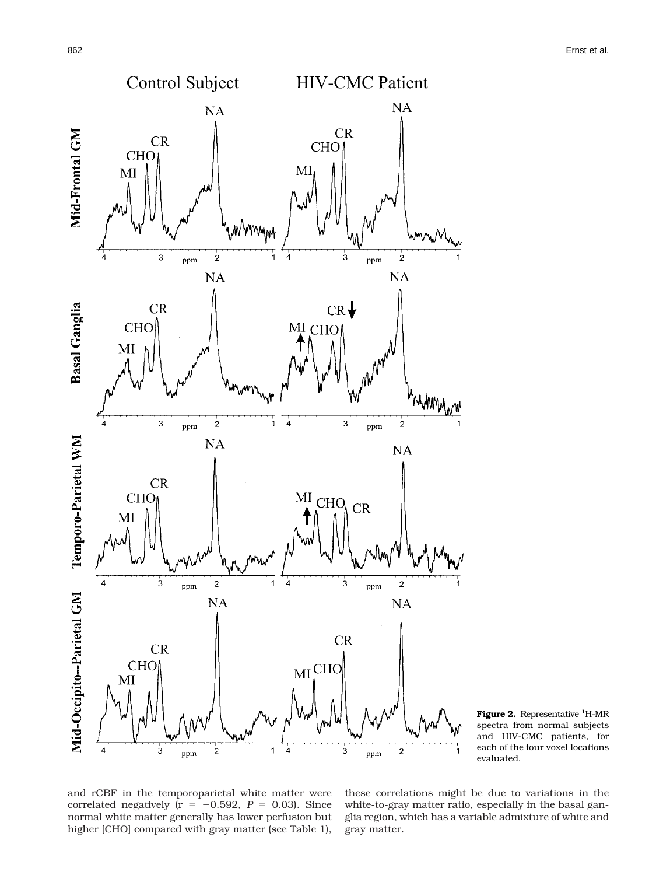



and rCBF in the temporoparietal white matter were correlated negatively ( $r = -0.592$ ,  $P = 0.03$ ). Since normal white matter generally has lower perfusion but higher [CHO] compared with gray matter (see Table 1), these correlations might be due to variations in the white-to-gray matter ratio, especially in the basal ganglia region, which has a variable admixture of white and gray matter.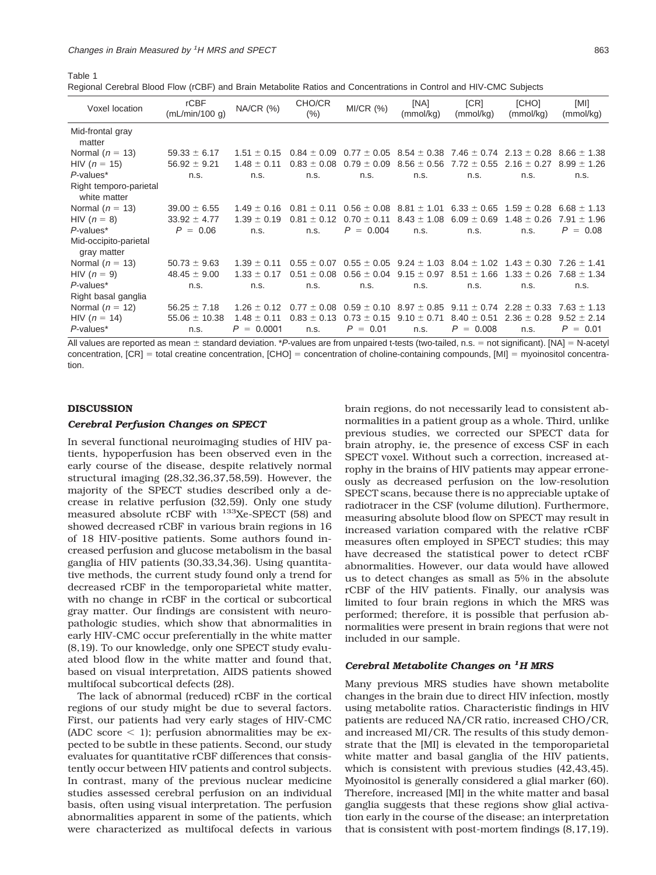Regional Cerebral Blood Flow (rCBF) and Brain Metabolite Ratios and Concentrations in Control and HIV-CMC Subjects

| Voxel location                         | <b>rCBF</b><br>(mL/min/100 q) | NA/CR (%)       | CHO/CR<br>$(\% )$ | MI/CR (%)       | [NA]<br>(mmol/kg) | [CR]<br>(mmol/kg)                               | [CHO]<br>(mmol/kg)                                              | [MI]<br>(mmol/kg) |
|----------------------------------------|-------------------------------|-----------------|-------------------|-----------------|-------------------|-------------------------------------------------|-----------------------------------------------------------------|-------------------|
| Mid-frontal gray<br>matter             |                               |                 |                   |                 |                   |                                                 |                                                                 |                   |
| Normal ( $n = 13$ )                    | $59.33 \pm 6.17$              | $1.51 \pm 0.15$ | $0.84 \pm 0.09$   | $0.77 \pm 0.05$ |                   | $8.54 \pm 0.38$ 7.46 $\pm$ 0.74 2.13 $\pm$ 0.28 |                                                                 | $8.66 \pm 1.38$   |
| HIV ( $n = 15$ )                       | $56.92 \pm 9.21$              | $1.48 \pm 0.11$ | $0.83 \pm 0.08$   | $0.79 \pm 0.09$ | $8.56 \pm 0.56$   | $7.72 \pm 0.55$                                 | $2.16 \pm 0.27$                                                 | $8.99 \pm 1.26$   |
| $P$ -values*                           | n.s.                          | n.s.            | n.s.              | n.s.            | n.s.              | n.s.                                            | n.s.                                                            | n.s.              |
| Right temporo-parietal<br>white matter |                               |                 |                   |                 |                   |                                                 |                                                                 |                   |
| Normal $(n = 13)$                      | $39.00 \pm 6.55$              | $1.49 + 0.16$   | $0.81 \pm 0.11$   | $0.56 \pm 0.08$ | $8.81 \pm 1.01$   | $6.33 \pm 0.65$                                 | $1.59 \pm 0.28$                                                 | $6.68 \pm 1.13$   |
| HIV $(n = 8)$                          | $33.92 \pm 4.77$              | $1.39 + 0.19$   | $0.81 + 0.12$     | $0.70 \pm 0.11$ | $8.43 \pm 1.08$   | $6.09 \pm 0.69$                                 | $1.48 + 0.26$                                                   | $7.91 \pm 1.96$   |
| P-values*                              | $P = 0.06$                    | n.s.            | n.s.              | $P = 0.004$     | n.s.              | n.s.                                            | n.s.                                                            | $P = 0.08$        |
| Mid-occipito-parietal<br>gray matter   |                               |                 |                   |                 |                   |                                                 |                                                                 |                   |
| Normal $(n = 13)$                      | $50.73 \pm 9.63$              | $1.39 + 0.11$   | $0.55 \pm 0.07$   |                 |                   |                                                 | $0.55 \pm 0.05$ 9.24 $\pm$ 1.03 8.04 $\pm$ 1.02 1.43 $\pm$ 0.30 | $7.26 \pm 1.41$   |
| HIV $(n = 9)$                          | $48.45 \pm 9.00$              | $1.33 \pm 0.17$ | $0.51 \pm 0.08$   | $0.56 \pm 0.04$ | $9.15 \pm 0.97$   | $8.51 \pm 1.66$                                 | $1.33 \pm 0.26$                                                 | $7.68 \pm 1.34$   |
| $P$ -values*                           | n.s.                          | n.s.            | n.s.              | n.s.            | n.s.              | n.s.                                            | n.s.                                                            | n.s.              |
| Right basal ganglia                    |                               |                 |                   |                 |                   |                                                 |                                                                 |                   |
| Normal $(n = 12)$                      | $56.25 \pm 7.18$              | $1.26 \pm 0.12$ | $0.77 \pm 0.08$   | $0.59 \pm 0.10$ | $8.97 \pm 0.85$   | $9.11 \pm 0.74$                                 | $2.28 \pm 0.33$                                                 | $7.63 \pm 1.13$   |
| HIV ( $n = 14$ )                       | $55.06 \pm 10.38$             | $1.48 \pm 0.11$ | $0.83 + 0.13$     | 0.73<br>$+0.15$ | ± 0.71<br>9.10    | $+0.51$<br>8.40                                 | $2.36 + 0.28$                                                   | $9.52 \pm 2.14$   |
| $P$ -values*                           | n.s.                          | $= 0.0001$<br>P | n.s.              | $P =$<br>0.01   | n.s.              | P<br>0.008<br>$\hspace{1.6cm} = \hspace{1.6cm}$ | n.s.                                                            | $P = 0.01$        |

All values are reported as mean  $\pm$  standard deviation. \**P*-values are from unpaired t-tests (two-tailed, n.s.  $=$  not significant). [NA]  $=$  N-acetyl concentration,  $[CR]$  = total creatine concentration,  $[CHO]$  = concentration of choline-containing compounds,  $[MI]$  = myoinositol concentration.

#### **DISCUSSION**

Table 1

#### *Cerebral Perfusion Changes on SPECT*

In several functional neuroimaging studies of HIV patients, hypoperfusion has been observed even in the early course of the disease, despite relatively normal structural imaging (28,32,36,37,58,59). However, the majority of the SPECT studies described only a decrease in relative perfusion (32,59). Only one study measured absolute rCBF with <sup>133</sup>Xe-SPECT (58) and showed decreased rCBF in various brain regions in 16 of 18 HIV-positive patients. Some authors found increased perfusion and glucose metabolism in the basal ganglia of HIV patients (30,33,34,36). Using quantitative methods, the current study found only a trend for decreased rCBF in the temporoparietal white matter, with no change in rCBF in the cortical or subcortical gray matter. Our findings are consistent with neuropathologic studies, which show that abnormalities in early HIV-CMC occur preferentially in the white matter (8,19). To our knowledge, only one SPECT study evaluated blood flow in the white matter and found that, based on visual interpretation, AIDS patients showed multifocal subcortical defects (28).

The lack of abnormal (reduced) rCBF in the cortical regions of our study might be due to several factors. First, our patients had very early stages of HIV-CMC (ADC score  $\leq$  1); perfusion abnormalities may be expected to be subtle in these patients. Second, our study evaluates for quantitative rCBF differences that consistently occur between HIV patients and control subjects. In contrast, many of the previous nuclear medicine studies assessed cerebral perfusion on an individual basis, often using visual interpretation. The perfusion abnormalities apparent in some of the patients, which were characterized as multifocal defects in various brain regions, do not necessarily lead to consistent abnormalities in a patient group as a whole. Third, unlike previous studies, we corrected our SPECT data for brain atrophy, ie, the presence of excess CSF in each SPECT voxel. Without such a correction, increased atrophy in the brains of HIV patients may appear erroneously as decreased perfusion on the low-resolution SPECT scans, because there is no appreciable uptake of radiotracer in the CSF (volume dilution). Furthermore, measuring absolute blood flow on SPECT may result in increased variation compared with the relative rCBF measures often employed in SPECT studies; this may have decreased the statistical power to detect rCBF abnormalities. However, our data would have allowed us to detect changes as small as 5% in the absolute rCBF of the HIV patients. Finally, our analysis was limited to four brain regions in which the MRS was performed; therefore, it is possible that perfusion abnormalities were present in brain regions that were not included in our sample.

# *Cerebral Metabolite Changes on <sup>1</sup> H MRS*

Many previous MRS studies have shown metabolite changes in the brain due to direct HIV infection, mostly using metabolite ratios. Characteristic findings in HIV patients are reduced NA/CR ratio, increased CHO/CR, and increased MI/CR. The results of this study demonstrate that the [MI] is elevated in the temporoparietal white matter and basal ganglia of the HIV patients, which is consistent with previous studies (42,43,45). Myoinositol is generally considered a glial marker (60). Therefore, increased [MI] in the white matter and basal ganglia suggests that these regions show glial activation early in the course of the disease; an interpretation that is consistent with post-mortem findings (8,17,19).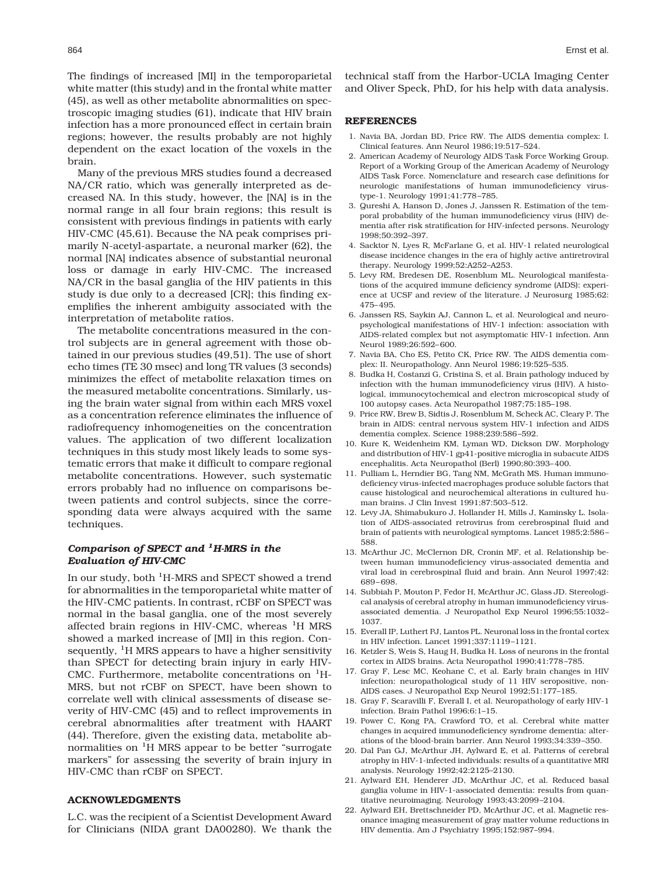The findings of increased [MI] in the temporoparietal white matter (this study) and in the frontal white matter (45), as well as other metabolite abnormalities on spectroscopic imaging studies (61), indicate that HIV brain infection has a more pronounced effect in certain brain regions; however, the results probably are not highly dependent on the exact location of the voxels in the brain.

Many of the previous MRS studies found a decreased NA/CR ratio, which was generally interpreted as decreased NA. In this study, however, the [NA] is in the normal range in all four brain regions; this result is consistent with previous findings in patients with early HIV-CMC (45,61). Because the NA peak comprises primarily N-acetyl-aspartate, a neuronal marker (62), the normal [NA] indicates absence of substantial neuronal loss or damage in early HIV-CMC. The increased NA/CR in the basal ganglia of the HIV patients in this study is due only to a decreased [CR]; this finding exemplifies the inherent ambiguity associated with the interpretation of metabolite ratios.

The metabolite concentrations measured in the control subjects are in general agreement with those obtained in our previous studies (49,51). The use of short echo times (TE 30 msec) and long TR values (3 seconds) minimizes the effect of metabolite relaxation times on the measured metabolite concentrations. Similarly, using the brain water signal from within each MRS voxel as a concentration reference eliminates the influence of radiofrequency inhomogeneities on the concentration values. The application of two different localization techniques in this study most likely leads to some systematic errors that make it difficult to compare regional metabolite concentrations. However, such systematic errors probably had no influence on comparisons between patients and control subjects, since the corresponding data were always acquired with the same techniques.

# *Comparison of SPECT and <sup>1</sup> H-MRS in the Evaluation of HIV-CMC*

In our study, both <sup>1</sup>H-MRS and SPECT showed a trend for abnormalities in the temporoparietal white matter of the HIV-CMC patients. In contrast, rCBF on SPECT was normal in the basal ganglia, one of the most severely affected brain regions in HIV-CMC, whereas <sup>1</sup>H MRS showed a marked increase of [MI] in this region. Consequently, <sup>1</sup>H MRS appears to have a higher sensitivity than SPECT for detecting brain injury in early HIV-CMC. Furthermore, metabolite concentrations on <sup>1</sup>H-MRS, but not rCBF on SPECT, have been shown to correlate well with clinical assessments of disease severity of HIV-CMC (45) and to reflect improvements in cerebral abnormalities after treatment with HAART (44). Therefore, given the existing data, metabolite abnormalities on <sup>1</sup>H MRS appear to be better "surrogate markers" for assessing the severity of brain injury in HIV-CMC than rCBF on SPECT.

## **ACKNOWLEDGMENTS**

L.C. was the recipient of a Scientist Development Award for Clinicians (NIDA grant DA00280). We thank the

technical staff from the Harbor-UCLA Imaging Center and Oliver Speck, PhD, for his help with data analysis.

#### **REFERENCES**

- 1. Navia BA, Jordan BD, Price RW. The AIDS dementia complex: I. Clinical features. Ann Neurol 1986;19:517–524.
- 2. American Academy of Neurology AIDS Task Force Working Group. Report of a Working Group of the American Academy of Neurology AIDS Task Force. Nomenclature and research case definitions for neurologic manifestations of human immunodeficiency virustype-1. Neurology 1991;41:778–785.
- 3. Qureshi A, Hanson D, Jones J, Janssen R. Estimation of the temporal probability of the human immunodeficiency virus (HIV) dementia after risk stratification for HIV-infected persons. Neurology 1998;50:392–397.
- 4. Sacktor N, Lyes R, McFarlane G, et al. HIV-1 related neurological disease incidence changes in the era of highly active antiretroviral therapy. Neurology 1999;52:A252–A253.
- 5. Levy RM, Bredesen DE, Rosenblum ML. Neurological manifestations of the acquired immune deficiency syndrome (AIDS): experience at UCSF and review of the literature. J Neurosurg 1985;62: 475–495.
- 6. Janssen RS, Saykin AJ, Cannon L, et al. Neurological and neuropsychological manifestations of HIV-1 infection: association with AIDS-related complex but not asymptomatic HIV-1 infection. Ann Neurol 1989;26:592–600.
- 7. Navia BA, Cho ES, Petito CK, Price RW. The AIDS dementia complex: II. Neuropathology. Ann Neurol 1986;19:525–535.
- 8. Budka H, Costanzi G, Cristina S, et al. Brain pathology induced by infection with the human immunodeficiency virus (HIV). A histological, immunocytochemical and electron microscopical study of 100 autopsy cases. Acta Neuropathol 1987;75:185–198.
- 9. Price RW, Brew B, Sidtis J, Rosenblum M, Scheck AC, Cleary P. The brain in AIDS: central nervous system HIV-1 infection and AIDS dementia complex. Science 1988;239:586–592.
- 10. Kure K, Weidenheim KM, Lyman WD, Dickson DW. Morphology and distribution of HIV-1 gp41-positive microglia in subacute AIDS encephalitis. Acta Neuropathol (Berl) 1990;80:393–400.
- 11. Pulliam L, Herndier BG, Tang NM, McGrath MS. Human immunodeficiency virus-infected macrophages produce soluble factors that cause histological and neurochemical alterations in cultured human brains. J Clin Invest 1991;87:503–512.
- 12. Levy JA, Shimabukuro J, Hollander H, Mills J, Kaminsky L. Isolation of AIDS-associated retrovirus from cerebrospinal fluid and brain of patients with neurological symptoms. Lancet 1985;2:586– 588.
- 13. McArthur JC, McClernon DR, Cronin MF, et al. Relationship between human immunodeficiency virus-associated dementia and viral load in cerebrospinal fluid and brain. Ann Neurol 1997;42: 689–698.
- 14. Subbiah P, Mouton P, Fedor H, McArthur JC, Glass JD. Stereological analysis of cerebral atrophy in human immunodeficiency virusassociated dementia. J Neuropathol Exp Neurol 1996;55:1032– 1037.
- 15. Everall IP, Luthert PJ, Lantos PL. Neuronal loss in the frontal cortex in HIV infection. Lancet 1991;337:1119–1121.
- 16. Ketzler S, Weis S, Haug H, Budka H. Loss of neurons in the frontal cortex in AIDS brains. Acta Neuropathol 1990;41:778–785.
- 17. Gray F, Lesc MC, Keohane C, et al. Early brain changes in HIV infection: neuropathological study of 11 HIV seropositive, non-AIDS cases. J Neuropathol Exp Neurol 1992;51:177–185.
- 18. Gray F, Scaravilli F, Everall I, et al. Neuropathology of early HIV-1 infection. Brain Pathol 1996;6:1–15.
- 19. Power C, Kong PA, Crawford TO, et al. Cerebral white matter changes in acquired immunodeficiency syndrome dementia: alterations of the blood-brain barrier. Ann Neurol 1993;34:339–350.
- 20. Dal Pan GJ, McArthur JH, Aylward E, et al. Patterns of cerebral atrophy in HIV-1-infected individuals: results of a quantitative MRI analysis. Neurology 1992;42:2125–2130.
- 21. Aylward EH, Henderer JD, McArthur JC, et al. Reduced basal ganglia volume in HIV-1-associated dementia: results from quantitative neuroimaging. Neurology 1993;43:2099–2104.
- 22. Aylward EH, Brettschneider PD, McArthur JC, et al. Magnetic resonance imaging measurement of gray matter volume reductions in HIV dementia. Am J Psychiatry 1995;152:987–994.